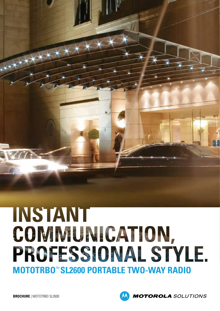# INSTANT COMMUNICATION, PROFESSIONAL STYLE. **MOTOTRBO**™ **SL2600 PORTABLE TWO-WAY RADIO**

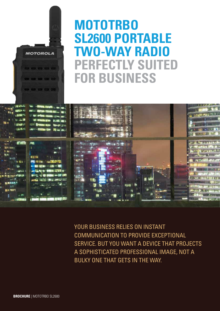## **MOTOTRBO SL2600 PORTABLE TWO-WAY RADIO PERFECTLY SUITED FOR BUSINESS**



YOUR BUSINESS RELIES ON INSTANT COMMUNICATION TO PROVIDE EXCEPTIONAL SERVICE. BUT YOU WANT A DEVICE THAT PROJECTS A SOPHISTICATED PROFESSIONAL IMAGE, NOT A BULKY ONE THAT GETS IN THE WAY.

**MOTOROLA** 

**B. 25.00 (C)** 

 $(1)$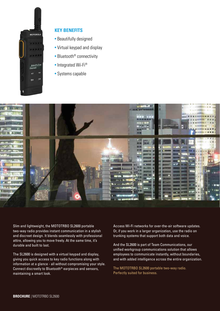

#### **KEY BENEFITS**

- Beautifully designed
- Virtual keypad and display
- Bluetooth® connectivity
- Integrated Wi-Fi®
- Systems capable



Slim and lightweight, the MOTOTRBO SL2600 portable two-way radio provides instant communication in a stylish and discreet design. It blends seamlessly with professional attire, allowing you to move freely. At the same time, it's durable and built to last.

The SL2600 is designed with a virtual keypad and display, giving you quick access to key radio functions along with information at a glance - all without compromising your style. Connect discreetly to Bluetooth® earpieces and sensors, maintaining a smart look.

Access Wi-Fi networks for over-the-air software updates. Or, if you work in a larger organization, use the radio on trunking systems that support both data and voice.

And the SL2600 is part of Team Communications, our unified workgroup communications solution that allows employees to communicate instantly, without boundaries, and with added intelligence across the entire organization.

The MOTOTRBO SL2600 portable two-way radio. Perfectly suited for business.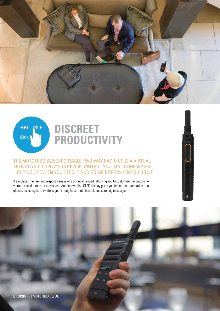



### **DISCREET PRODUCTIVITY**

#### THE MOTOTRBO SL2600 PORTABLE TWO-WAY RADIO USES A VIRTUAL KEYPAD AND DISPLAY FOR DEVICE CONTROL AND STATUS MESSAGES, LIGHTING UP WHEN YOU NEED IT AND GOING DARK WHEN YOU DON'T.

It simulates the feel and responsiveness of a physical keypad, allowing you to customize the buttons to vibrate, sound a tone, or stay silent. And its two-line OLED display gives you important information at a glance, including battery life, signal strength, current channel, and scrolling messages.

**BROCHURE** | MOTOTRBO SL2600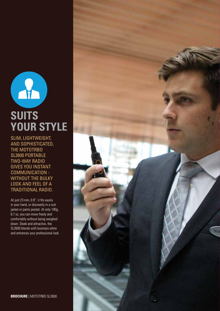

SLIM, LIGHTWEIGHT, AND SOPHISTICATED, THE MOTOTRBO SL2600 PORTABLE TWO-WAY RADIO GIVES YOU INSTANT COMMUNICATION - WITHOUT THE BULKY LOOK AND FEEL OF A TRADITIONAL RADIO.

At just 23 mm, 0.9", it fits easily in your hand, or discreetly in a suit jacket or pants pocket. At only 190g, 6.7 oz, you can move freely and comfortably without being weighed down. Sleek and attractive, the SL2600 blends with business attire and enhances your professional look.

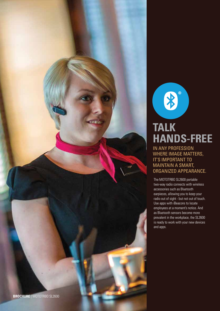

### IN ANY PROFESSION **TALK HANDS-FREE**

8

WHERE IMAGE MATTERS, IT'S IMPORTANT TO MAINTAIN A SMART, ORGANIZED APPEARANCE.

The MOTOTRBO SL2600 portable two-way radio connects with wireless accessories such as Bluetooth earpieces, allowing you to keep your radio out of sight - but not out of touch. Use apps with iBeacons to locate employees at a moment's notice. And as Bluetooth sensors become more prevalent in the workplace, the SL2600 is ready to work with your new devices and apps.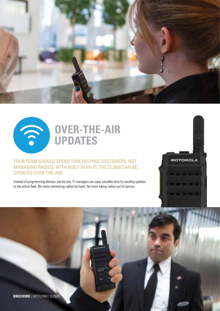

**MOTOROLA** 

**CONCERN CONTRACTOR** 

 $\bullet\bullet\bullet\bullet\bullet\bullet$ 



### **OVER-THE-AIR UPDATES**

#### YOUR TEAM SHOULD SPEND TIME HELPING CUSTOMERS, NOT MANAGING RADIOS. WITH BUILT-IN WI-FI, THE SL2600 CAN BE UPDATED OVER-THE-AIR.

Instead of programming devices one by one, IT managers can save valuable time by sending updates to the entire fleet. No more connecting cables by hand. No more taking radios out of service.

**BROCHURE** | MOTOTRBO SL2600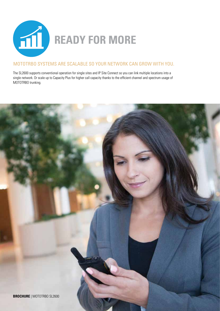

#### MOTOTRBO SYSTEMS ARE SCALABLE SO YOUR NETWORK CAN GROW WITH YOU.

The SL2600 supports conventional operation for single sites and IP Site Connect so you can link multiple locations into a single network. Or scale up to Capacity Plus for higher call capacity thanks to the efficient channel and spectrum usage of MOTOTRBO trunking.

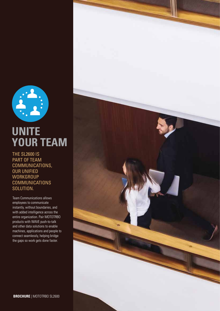

### **UNITE YOUR TEAM**

THE SL2600 IS PART OF TEAM COMMUNICATIONS, OUR UNIFIED **WORKGROUP COMMUNICATIONS** SOLUTION.

Team Communications allows employees to communicate instantly, without boundaries, and with added intelligence across the entire organization. Pair MOTOTRBO products with WAVE push-to-talk and other data solutions to enable machines, applications and people to connect seamlessly, helping bridge the gaps so work gets done faster.

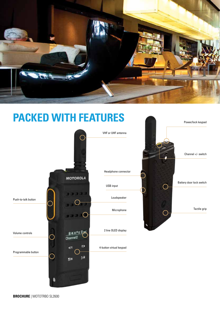

### **PACKED WITH FEATURES**



**BROCHURE** | MOTOTRBO SL2600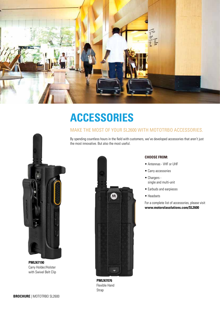

### **ACCESSORIES**

#### MAKE THE MOST OF YOUR SL2600 WITH MOTOTRBO ACCESSORIES.

By spending countless hours in the field with customers, we've developed accessories that aren't just the most innovative. But also the most useful.



**PMLN7190** Carry Holder/Holster with Swivel Belt Clip



**PMLN7076** Flexible Hand Strap

#### **CHOOSE FROM:**

- Antennas VHF or UHF
- Carry accessories
- Chargers single and multi-unit
- Earbuds and earpieces
- Headsets

[For a complete list of accessories, please visit](http://www.motorolasolutions.com/SL2600) **www.motorolasolutions.com/SL2600**